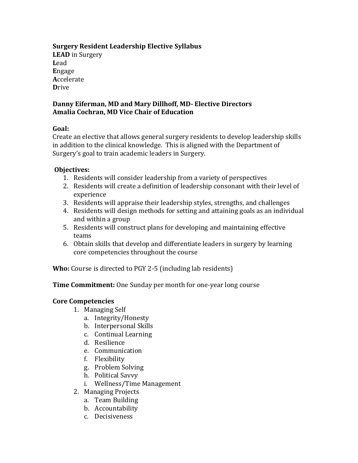# **Surgery Resident Leadership Elective Syllabus**

**LEAD** in Surgery **L**ead **E**ngage **A**ccelerate **D**rive

## **Danny Eiferman, MD and Mary Dillhoff, MD- Elective Directors Amalia Cochran, MD Vice Chair of Education**

### **Goal:**

Create an elective that allows general surgery residents to develop leadership skills in addition to the clinical knowledge. This is aligned with the Department of Surgery's goal to train academic leaders in Surgery.

## **Objectives:**

- 1. Residents will consider leadership from a variety of perspectives
- 2. Residents will create a definition of leadership consonant with their level of experience
- 3. Residents will appraise their leadership styles, strengths, and challenges
- 4. Residents will design methods for setting and attaining goals as an individual and within a group
- 5. Residents will construct plans for developing and maintaining effective teams
- 6. Obtain skills that develop and differentiate leaders in surgery by learning core competencies throughout the course

**Who:** Course is directed to PGY 2-5 (including lab residents)

**Time Commitment:** One Sunday per month for one-year long course

### **Core Competencies**

- 1. Managing Self
	- a. Integrity/Honesty
	- b. Interpersonal Skills
	- c. Continual Learning
	- d. Resilience
	- e. Communication
	- f. Flexibility
	- g. Problem Solving
	- h. Political Savvy
	- i. Wellness/Time Management
- 2. Managing Projects
	- a. Team Building
	- b. Accountability
	- c. Decisiveness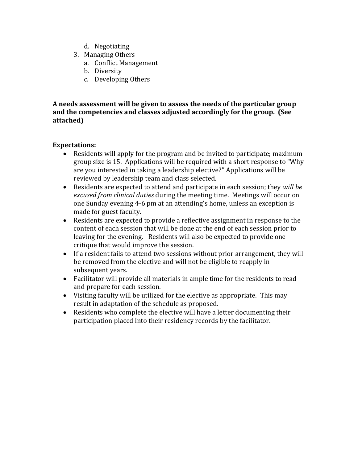- d. Negotiating
- 3. Managing Others
	- a. Conflict Management
	- b. Diversity
	- c. Developing Others

**A needs assessment will be given to assess the needs of the particular group and the competencies and classes adjusted accordingly for the group. (See attached)**

### **Expectations:**

- Residents will apply for the program and be invited to participate; maximum group size is 15. Applications will be required with a short response to "Why are you interested in taking a leadership elective?" Applications will be reviewed by leadership team and class selected.
- Residents are expected to attend and participate in each session; they *will be excused from clinical duties* during the meeting time. Meetings will occur on one Sunday evening 4-6 pm at an attending's home, unless an exception is made for guest faculty.
- Residents are expected to provide a reflective assignment in response to the content of each session that will be done at the end of each session prior to leaving for the evening. Residents will also be expected to provide one critique that would improve the session.
- If a resident fails to attend two sessions without prior arrangement, they will be removed from the elective and will not be eligible to reapply in subsequent years.
- Facilitator will provide all materials in ample time for the residents to read and prepare for each session.
- Visiting faculty will be utilized for the elective as appropriate. This may result in adaptation of the schedule as proposed.
- Residents who complete the elective will have a letter documenting their participation placed into their residency records by the facilitator.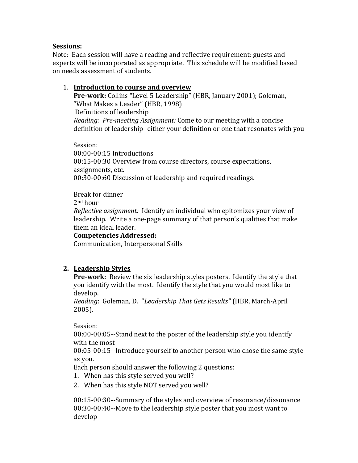#### **Sessions:**

Note: Each session will have a reading and reflective requirement; guests and experts will be incorporated as appropriate. This schedule will be modified based on needs assessment of students.

### 1. **Introduction to course and overview**

**Pre-work:** Collins "Level 5 Leadership" (HBR, January 2001); Goleman, "What Makes a Leader" (HBR, 1998) Definitions of leadership *Reading: Pre-meeting Assignment:* Come to our meeting with a concise definition of leadership- either your definition or one that resonates with you

Session: 00:00-00:15 Introductions 00:15-00:30 Overview from course directors, course expectations, assignments, etc. 00:30-00:60 Discussion of leadership and required readings.

Break for dinner

2nd hour

*Reflective assignment:*Identify an individual who epitomizes your view of leadership. Write a one-page summary of that person's qualities that make them an ideal leader.

#### **Competencies Addressed:**

Communication, Interpersonal Skills

# **2. Leadership Styles**

**Pre-work:** Review the six leadership styles posters. Identify the style that you identify with the most. Identify the style that you would most like to develop.

*Reading*: Goleman, D. "*Leadership That Gets Results"* (HBR, March-April 2005).

Session:

00:00-00:05--Stand next to the poster of the leadership style you identify with the most

00:05-00:15--Introduce yourself to another person who chose the same style as you.

Each person should answer the following 2 questions:

- 1. When has this style served you well?
- 2. When has this style NOT served you well?

00:15-00:30--Summary of the styles and overview of resonance/dissonance 00:30-00:40--Move to the leadership style poster that you most want to develop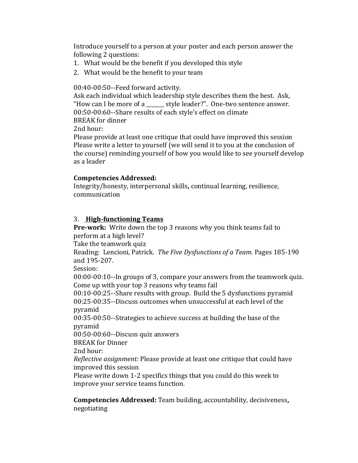Introduce yourself to a person at your poster and each person answer the following 2 questions:

- 1. What would be the benefit if you developed this style
- 2. What would be the benefit to your team

00:40-00:50--Feed forward activity.

Ask each individual which leadership style describes them the best. Ask, "How can I be more of a \_\_\_\_\_\_ style leader?". One-two sentence answer. 00:50-00:60--Share results of each style's effect on climate

BREAK for dinner

2nd hour:

Please provide at least one critique that could have improved this session Please write a letter to yourself (we will send it to you at the conclusion of the course) reminding yourself of how you would like to see yourself develop as a leader

### **Competencies Addressed:**

Integrity/honesty, interpersonal skills**,** continual learning, resilience, communication

## 3. **High-functioning Teams**

**Pre-work:** Write down the top 3 reasons why you think teams fail to perform at a high level?

Take the teamwork quiz

Reading: Lencioni, Patrick. *The Five Dysfunctions of a Team.* Pages 185-190 and 195-207.

Session:

00:00-00:10--In groups of 3, compare your answers from the teamwork quiz. Come up with your top 3 reasons why teams fail

00:10-00:25--Share results with group. Build the 5 dysfunctions pyramid 00:25-00:35--Discuss outcomes when unsuccessful at each level of the pyramid

00:35-00:50--Strategies to achieve success at building the base of the pyramid

00:50-00:60--Discuss quiz answers

BREAK for Dinner

2nd hour:

*Reflective assignment:* Please provide at least one critique that could have improved this session

Please write down 1-2 specifics things that you could do this week to improve your service teams function.

**Competencies Addressed:** Team building, accountability, decisiveness**,**  negotiating